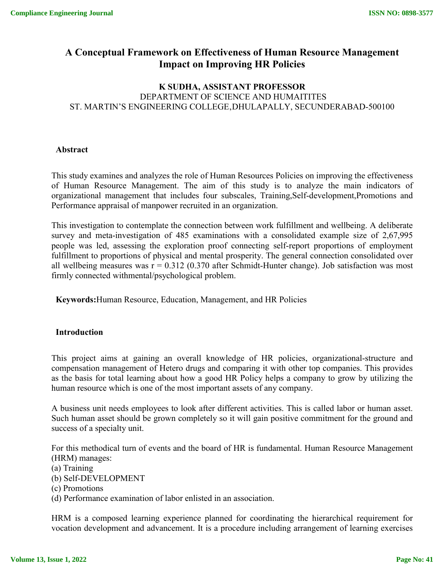# **A Conceptual Framework on Effectiveness of Human Resource Management Impact on Improving HR Policies**

## **K SUDHA, ASSISTANT PROFESSOR** DEPARTMENT OF SCIENCE AND HUMAITITES ST. MARTIN'S ENGINEERING COLLEGE, DHULAPALLY, SECUNDERABAD-500100

## **Abstract**

This study examines and analyzes the role of Human Resources Policies on improving the effectiveness of Human Resource Management. The aim of this study is to analyze the main indicators of organizational management that includes four subscales, Training,Self-development,Promotions and Performance appraisal of manpower recruited in an organization.

This investigation to contemplate the connection between work fulfillment and wellbeing. A deliberate survey and meta-investigation of 485 examinations with a consolidated example size of 2,67,995 people was led, assessing the exploration proof connecting self-report proportions of employment fulfillment to proportions of physical and mental prosperity. The general connection consolidated over all wellbeing measures was  $r = 0.312$  (0.370 after Schmidt-Hunter change). Job satisfaction was most firmly connected withmental/psychological problem.

**Keywords:**Human Resource, Education, Management, and HR Policies

#### **Introduction**

This project aims at gaining an overall knowledge of HR policies, organizational-structure and compensation management of Hetero drugs and comparing it with other top companies. This provides as the basis for total learning about how a good HR Policy helps a company to grow by utilizing the human resource which is one of the most important assets of any company.

A business unit needs employees to look after different activities. This is called labor or human asset. Such human asset should be grown completely so it will gain positive commitment for the ground and success of a specialty unit.

For this methodical turn of events and the board of HR is fundamental. Human Resource Management (HRM) manages:

(a) Training

(b) Self-DEVELOPMENT

(c) Promotions

(d) Performance examination of labor enlisted in an association.

HRM is a composed learning experience planned for coordinating the hierarchical requirement for vocation development and advancement. It is a procedure including arrangement of learning exercises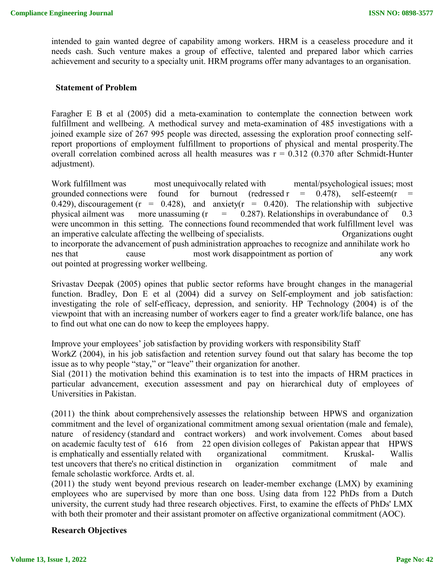intended to gain wanted degree of capability among workers. HRM is a ceaseless procedure and it needs cash. Such venture makes a group of effective, talented and prepared labor which carries achievement and security to a specialty unit. HRM programs offer many advantages to an organisation.

#### **Statement of Problem**

Faragher E B et al (2005) did a meta-examination to contemplate the connection between work fulfillment and wellbeing. A methodical survey and meta-examination of 485 investigations with a joined example size of 267 995 people was directed, assessing the exploration proof connecting selfreport proportions of employment fulfillment to proportions of physical and mental prosperity.The overall correlation combined across all health measures was  $r = 0.312$  (0.370 after Schmidt-Hunter adjustment).

Work fulfillment was most unequivocally related with mental/psychological issues; most grounded connections were found for burnout (redressed  $r = 0.478$ ), self-esteem(r 0.429), discouragement ( $r = 0.428$ ), and anxiety( $r = 0.420$ ). The relationship with subjective physical ailment was more unassuming  $(r = 0.287)$ . Relationships in overabundance of 0.3 were uncommon in this setting. The connections found recommended that work fulfillment level was an imperative calculate affecting the wellbeing of specialists. Organizations ought to incorporate the advancement of push administration approaches to recognize and annihilate work ho nes that cause most work disappointment as portion of any work out pointed at progressing worker wellbeing.

Srivastav Deepak (2005) opines that public sector reforms have brought changes in the managerial function. Bradley, Don E et al (2004) did a survey on Self-employment and job satisfaction: investigating the role of self-efficacy, depression, and seniority. HP Technology (2004) is of the viewpoint that with an increasing number of workers eager to find a greater work/life balance, one has to find out what one can do now to keep the employees happy.

Improve your employees' job satisfaction by providing workers with responsibility Staff

WorkZ (2004), in his job satisfaction and retention survey found out that salary has become the top issue as to why people "stay," or "leave" their organization for another.

Sial (2011) the motivation behind this examination is to test into the impacts of HRM practices in particular advancement, execution assessment and pay on hierarchical duty of employees of Universities in Pakistan.

(2011) the think about comprehensively assesses the relationship between HPWS and organization commitment and the level of organizational commitment among sexual orientation (male and female), nature of residency (standard and contract workers) and work involvement. Comes about based on academic faculty test of 616 from 22 open division colleges of Pakistan appear that HPWS is emphatically and essentially related with organizational commitment. Kruskal- Wallis test uncovers that there's no critical distinction in organization commitment of male and female scholastic workforce. Ardts et. al.

(2011) the study went beyond previous research on leader-member exchange (LMX) by examining employees who are supervised by more than one boss. Using data from 122 PhDs from a Dutch university, the current study had three research objectives. First, to examine the effects of PhDs' LMX with both their promoter and their assistant promoter on affective organizational commitment (AOC).

#### **Research Objectives**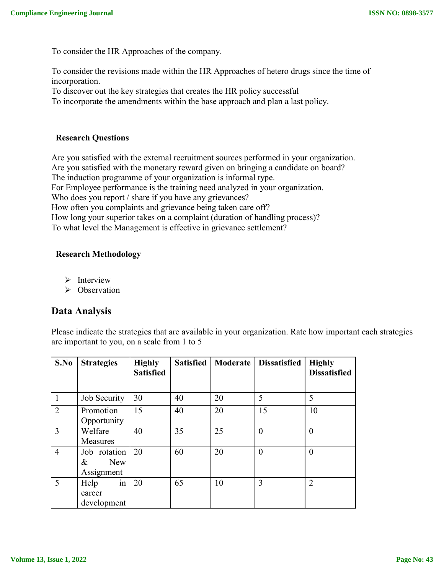To consider the HR Approaches of the company.

To consider the revisions made within the HR Approaches of hetero drugs since the time of incorporation.

To discover out the key strategies that creates the HR policy successful

To incorporate the amendments within the base approach and plan a last policy.

## **Research Questions**

Are you satisfied with the external recruitment sources performed in your organization. Are you satisfied with the monetary reward given on bringing a candidate on board? The induction programme of your organization is informal type. For Employee performance is the training need analyzed in your organization. Who does you report / share if you have any grievances? How often you complaints and grievance being taken care off? How long your superior takes on a complaint (duration of handling process)? To what level the Management is effective in grievance settlement?

## **Research Methodology**

- $\triangleright$  Interview
- $\triangleright$  Observation

# **Data Analysis**

Please indicate the strategies that are available in your organization. Rate how important each strategies are important to you, on a scale from 1 to 5

| S.No           | <b>Strategies</b>                      | <b>Highly</b><br><b>Satisfied</b> | <b>Satisfied</b> | Moderate | <b>Dissatisfied</b> | <b>Highly</b><br><b>Dissatisfied</b> |
|----------------|----------------------------------------|-----------------------------------|------------------|----------|---------------------|--------------------------------------|
| $\mathbf{1}$   | Job Security                           | 30                                | 40               | 20       | 5                   | 5                                    |
| 2              | Promotion<br>Opportunity               | 15                                | 40               | 20       | 15                  | 10                                   |
| $\overline{3}$ | Welfare<br><b>Measures</b>             | 40                                | 35               | 25       | $\theta$            | $\theta$                             |
| $\overline{4}$ | Job rotation<br>New<br>&<br>Assignment | 20                                | 60               | 20       | $\theta$            | $\theta$                             |
| 5              | in<br>Help<br>career<br>development    | 20                                | 65               | 10       | 3                   | $\overline{2}$                       |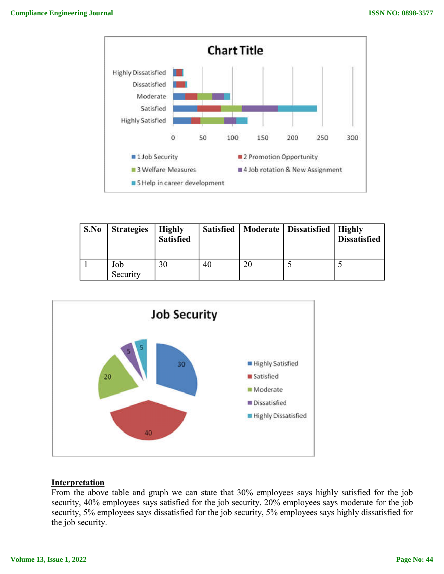

| S.No | <b>Strategies</b> | <b>Highly</b><br><b>Satisfied</b> | Satisfied | Moderate   Dissatisfied   Highly | <b>Dissatisfied</b> |
|------|-------------------|-----------------------------------|-----------|----------------------------------|---------------------|
|      | Job<br>Security   | 30                                | 40        |                                  |                     |



## **Interpretation**

From the above table and graph we can state that 30% employees says highly satisfied for the job security, 40% employees says satisfied for the job security, 20% employees says moderate for the job security, 5% employees says dissatisfied for the job security, 5% employees says highly dissatisfied for the job security.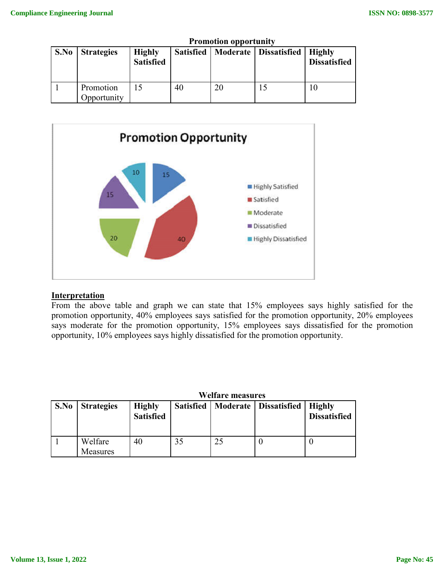|      | TTOMOGON OPPOLITIII)     |                                   |    |    |                                              |                     |
|------|--------------------------|-----------------------------------|----|----|----------------------------------------------|---------------------|
| S.No | <b>Strategies</b>        | <b>Highly</b><br><b>Satisfied</b> |    |    | Satisfied   Moderate   Dissatisfied   Highly | <b>Dissatisfied</b> |
|      | Promotion<br>Opportunity |                                   | 40 | 20 |                                              | 10                  |

### **Promotion opportunity**



#### **Interpretation**

From the above table and graph we can state that 15% employees says highly satisfied for the promotion opportunity, 40% employees says satisfied for the promotion opportunity, 20% employees says moderate for the promotion opportunity, 15% employees says dissatisfied for the promotion opportunity, 10% employees says highly dissatisfied for the promotion opportunity. From the above table and graph we can state that 15% employees says highly satisfied for the promotion opportunity, 40% employees says satisfied for the promotion opportunity, 20% employees says moderate for the promotion

|      |                     |                                   | VV CIIAI C'HICASUI CS |    |                                  |                     |  |
|------|---------------------|-----------------------------------|-----------------------|----|----------------------------------|---------------------|--|
| S.No | <b>Strategies</b>   | <b>Highly</b><br><b>Satisfied</b> | <b>Satisfied</b>      |    | Moderate   Dissatisfied   Highly | <b>Dissatisfied</b> |  |
|      | Welfare<br>Measures | 40                                | 35                    | 25 |                                  |                     |  |

**Welfare measures**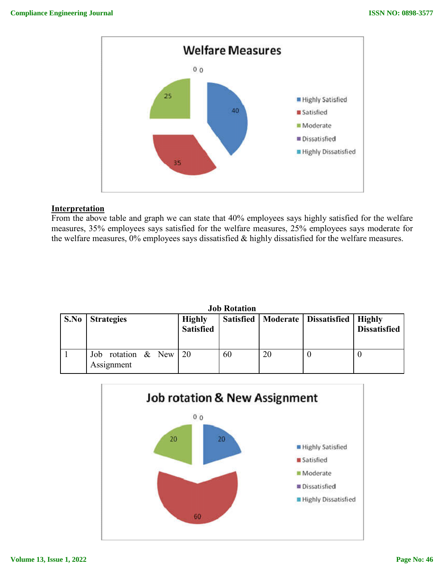

### **Interpretation**

From the above table and graph we can state that 40% employees says highly satisfied for the welfare measures, 35% employees says satisfied for the welfare measures, 25% employees says moderate for the welfare measures, 0% employees says dissatisfied & highly dissatisfied for the welfare measures. m the above table and graph we can state that 40% employees says highly satisfied for the welfare<br>isures, 35% employees says satisfied for the welfare measures, 25% employees says moderate for<br>welfare measures, 0% employee

|      | JUD IWIAUVII                           |                                   |    |    |                                     |                               |  |  |  |
|------|----------------------------------------|-----------------------------------|----|----|-------------------------------------|-------------------------------|--|--|--|
| S.No | <b>Strategies</b>                      | <b>Highly</b><br><b>Satisfied</b> |    |    | Satisfied   Moderate   Dissatisfied | Highly<br><b>Dissatisfied</b> |  |  |  |
|      | Job rotation $\&$ New 20<br>Assignment |                                   | 60 | 20 |                                     |                               |  |  |  |



## **Job Rotation**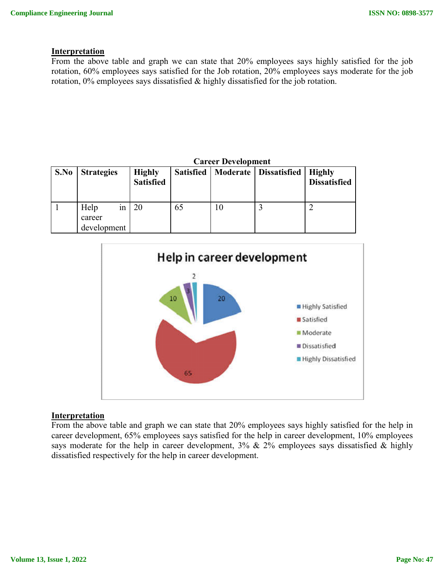#### **Interpretation**

From the above table and graph we can state that 20% employees says highly satisfied for the job From the above table and graph we can state that 20% employees says highly satisfied for the job rotation, 60% employees says satisfied for the Job rotation, 20% employees says moderate for the job rotation, 0% employees says dissatisfied & highly dissatisfied for the job rotation.

|      |                                     | <b>Career Development</b>         |    |    |                                     |                                      |  |
|------|-------------------------------------|-----------------------------------|----|----|-------------------------------------|--------------------------------------|--|
| S.No | <b>Strategies</b>                   | <b>Highly</b><br><b>Satisfied</b> |    |    | Satisfied   Moderate   Dissatisfied | <b>Highly</b><br><b>Dissatisfied</b> |  |
|      | Help<br>1n<br>career<br>development | 20                                | 65 | 10 |                                     |                                      |  |



#### **Interpretation**

From the above table and graph we can state that 20% employees says highly satisfied for the help in career development, 65% employees says satisfied for the help in career development, 10% employees says moderate for the help in career development,  $3\%$  &  $2\%$  employees says dissatisfied & highly dissatisfied respectively for the help in career development.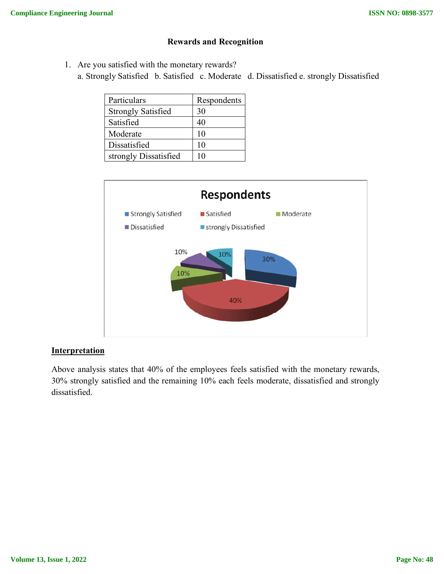## **Rewards and Recognition**

1. Are you satisfied with the monetary rewards? a. Strongly Satisfied b. Satisfied c. Moderate d. Dissatisfied e. strongly Dissatisfied

| Particulars               | Respondents |
|---------------------------|-------------|
| <b>Strongly Satisfied</b> | 30          |
| Satisfied                 | 40          |
| Moderate                  | 10          |
| Dissatisfied              | 10          |
| strongly Dissatisfied     |             |



## **Interpretation**

Above analysis states that 40% of the employees feels satisfied with the monetary rewards, 30% strongly satisfied and the remaining 10% each feels moderate, dissatisfied and strongly dissatisfied.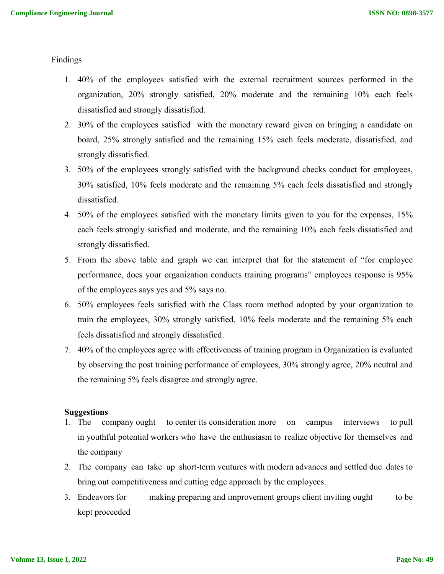Findings

- 1. 40% of the employees satisfied with the external recruitment sources performed in the organization, 20% strongly satisfied, 20% moderate and the remaining 10% each feels dissatisfied and strongly dissatisfied.
- 2. 30% of the employees satisfied with the monetary reward given on bringing a candidate on board, 25% strongly satisfied and the remaining 15% each feels moderate, dissatisfied, and strongly dissatisfied.
- 3. 50% of the employees strongly satisfied with the background checks conduct for employees, 30% satisfied, 10% feels moderate and the remaining 5% each feels dissatisfied and strongly dissatisfied.
- 4. 50% of the employees satisfied with the monetary limits given to you for the expenses, 15% each feels strongly satisfied and moderate, and the remaining 10% each feels dissatisfied and strongly dissatisfied.
- 5. From the above table and graph we can interpret that for the statement of "for employee performance, does your organization conducts training programs" employees response is 95% of the employees says yes and 5% says no.
- 6. 50% employees feels satisfied with the Class room method adopted by your organization to train the employees, 30% strongly satisfied, 10% feels moderate and the remaining 5% each feels dissatisfied and strongly dissatisfied.
- 7. 40% of the employees agree with effectiveness of training program in Organization is evaluated by observing the post training performance of employees, 30% strongly agree, 20% neutral and the remaining 5% feels disagree and strongly agree.

#### **Suggestions**

- 1. The company ought to center its consideration more on campus interviews to pull in youthful potential workers who have the enthusiasm to realize objective for themselves and the company
- 2. The company can take up short-term ventures with modern advances and settled due dates to bring out competitiveness and cutting edge approach by the employees.
- 3. Endeavors for making preparing and improvement groups client inviting ought to be kept proceeded